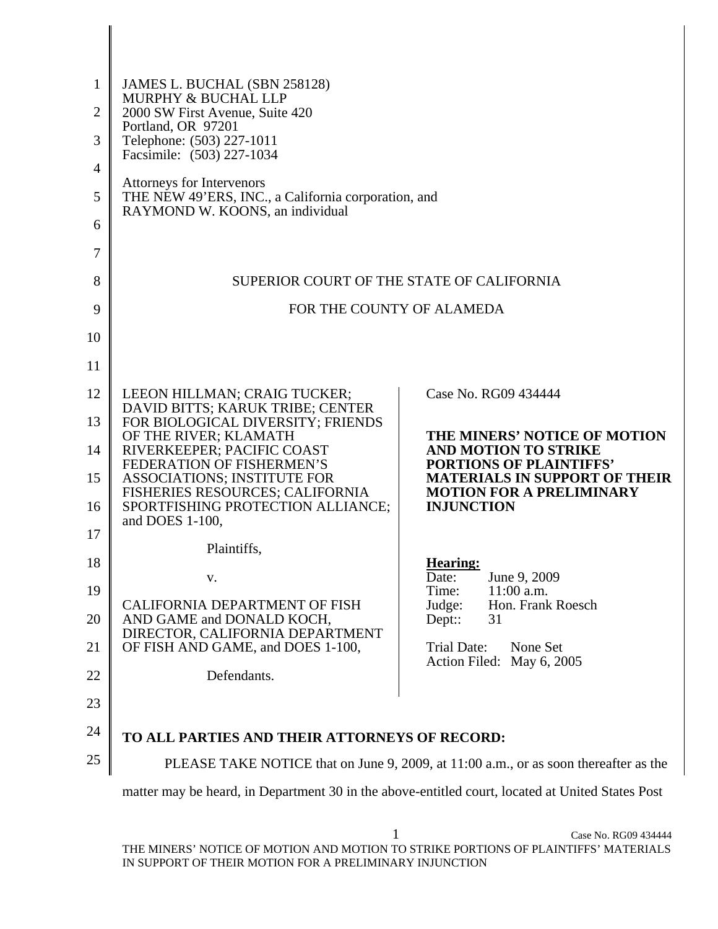| $\mathbf{1}$ | JAMES L. BUCHAL (SBN 258128)<br><b>MURPHY &amp; BUCHAL LLP</b>                                                      |                                                                                              |  |  |
|--------------|---------------------------------------------------------------------------------------------------------------------|----------------------------------------------------------------------------------------------|--|--|
| 2            | 2000 SW First Avenue, Suite 420<br>Portland, OR 97201<br>Telephone: (503) 227-1011                                  |                                                                                              |  |  |
| 3            |                                                                                                                     |                                                                                              |  |  |
| 4            | Facsimile: (503) 227-1034                                                                                           |                                                                                              |  |  |
| 5            | Attorneys for Intervenors<br>THE NEW 49'ERS, INC., a California corporation, and<br>RAYMOND W. KOONS, an individual |                                                                                              |  |  |
| 6            |                                                                                                                     |                                                                                              |  |  |
| 7            |                                                                                                                     |                                                                                              |  |  |
| 8            | SUPERIOR COURT OF THE STATE OF CALIFORNIA                                                                           |                                                                                              |  |  |
| 9            | FOR THE COUNTY OF ALAMEDA                                                                                           |                                                                                              |  |  |
| 10           |                                                                                                                     |                                                                                              |  |  |
| 11           |                                                                                                                     |                                                                                              |  |  |
| 12           | LEEON HILLMAN; CRAIG TUCKER;<br>DAVID BITTS; KARUK TRIBE; CENTER                                                    | Case No. RG09 434444                                                                         |  |  |
| 13           | FOR BIOLOGICAL DIVERSITY; FRIENDS<br>OF THE RIVER; KLAMATH                                                          | THE MINERS' NOTICE OF MOTION                                                                 |  |  |
| 14           | RIVERKEEPER; PACIFIC COAST<br>FEDERATION OF FISHERMEN'S                                                             | <b>AND MOTION TO STRIKE</b><br><b>PORTIONS OF PLAINTIFFS'</b>                                |  |  |
| 15<br>16     | <b>ASSOCIATIONS; INSTITUTE FOR</b><br>FISHERIES RESOURCES; CALIFORNIA<br>SPORTFISHING PROTECTION ALLIANCE;          | <b>MATERIALS IN SUPPORT OF THEIR</b><br><b>MOTION FOR A PRELIMINARY</b><br><b>INJUNCTION</b> |  |  |
|              | and DOES 1-100,                                                                                                     |                                                                                              |  |  |
| 17           | Plaintiffs,                                                                                                         |                                                                                              |  |  |
| 18           | V.                                                                                                                  | <b>Hearing:</b><br>June 9, 2009<br>Date:                                                     |  |  |
| 19           | CALIFORNIA DEPARTMENT OF FISH                                                                                       | $11:00$ a.m.<br>Time:<br>Judge:<br>Hon. Frank Roesch                                         |  |  |
| 20           | AND GAME and DONALD KOCH,<br>DIRECTOR, CALIFORNIA DEPARTMENT                                                        | $Dep:$ :<br>31                                                                               |  |  |
| 21           | OF FISH AND GAME, and DOES 1-100,                                                                                   | Trial Date:<br>None Set<br>Action Filed: May 6, 2005                                         |  |  |
| 22           | Defendants.                                                                                                         |                                                                                              |  |  |
| 23           |                                                                                                                     |                                                                                              |  |  |
| 24           | TO ALL PARTIES AND THEIR ATTORNEYS OF RECORD:                                                                       |                                                                                              |  |  |
| 25           | PLEASE TAKE NOTICE that on June 9, 2009, at 11:00 a.m., or as soon thereafter as the                                |                                                                                              |  |  |
|              | matter may be heard, in Department 30 in the above-entitled court, located at United States Post                    |                                                                                              |  |  |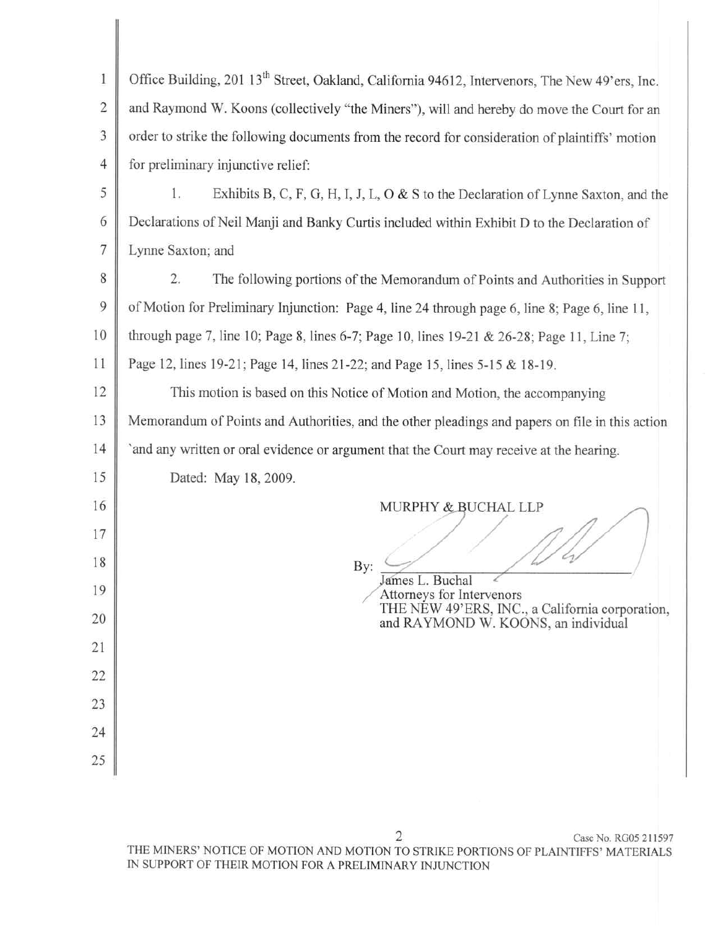| $\mathbf{1}$   | Office Building, 201 13 <sup>th</sup> Street, Oakland, California 94612, Intervenors, The New 49'ers, Inc. |  |  |
|----------------|------------------------------------------------------------------------------------------------------------|--|--|
| $\overline{c}$ | and Raymond W. Koons (collectively "the Miners"), will and hereby do move the Court for an                 |  |  |
| 3              | order to strike the following documents from the record for consideration of plaintiffs' motion            |  |  |
| $\overline{4}$ | for preliminary injunctive relief:                                                                         |  |  |
| 5              | Exhibits B, C, F, G, H, I, J, L, O & S to the Declaration of Lynne Saxton, and the<br>1.                   |  |  |
| 6              | Declarations of Neil Manji and Banky Curtis included within Exhibit D to the Declaration of                |  |  |
| $\overline{7}$ | Lynne Saxton; and                                                                                          |  |  |
| 8              | 2.<br>The following portions of the Memorandum of Points and Authorities in Support                        |  |  |
| 9              | of Motion for Preliminary Injunction: Page 4, line 24 through page 6, line 8; Page 6, line 11,             |  |  |
| 10             | through page 7, line 10; Page 8, lines 6-7; Page 10, lines 19-21 & 26-28; Page 11, Line 7;                 |  |  |
| 11             | Page 12, lines 19-21; Page 14, lines 21-22; and Page 15, lines 5-15 & 18-19.                               |  |  |
| 12             | This motion is based on this Notice of Motion and Motion, the accompanying                                 |  |  |
| 13             | Memorandum of Points and Authorities, and the other pleadings and papers on file in this action            |  |  |
| 14             | `and any written or oral evidence or argument that the Court may receive at the hearing.                   |  |  |
| 15             | Dated: May 18, 2009.                                                                                       |  |  |
| 16             | MURPHY & BUCHAL LLP                                                                                        |  |  |
| 17             |                                                                                                            |  |  |
| 18             | By:                                                                                                        |  |  |
| 19             | James L. Buchal<br>Attorneys for Intervenors<br>THE NEW 49'ERS, INC., a California corporation,            |  |  |
| 20             | and RAYMOND W. KOONS, an individual                                                                        |  |  |
| 21             |                                                                                                            |  |  |
| 22             |                                                                                                            |  |  |
| 23             |                                                                                                            |  |  |
| 24             |                                                                                                            |  |  |
| 25             |                                                                                                            |  |  |
|                |                                                                                                            |  |  |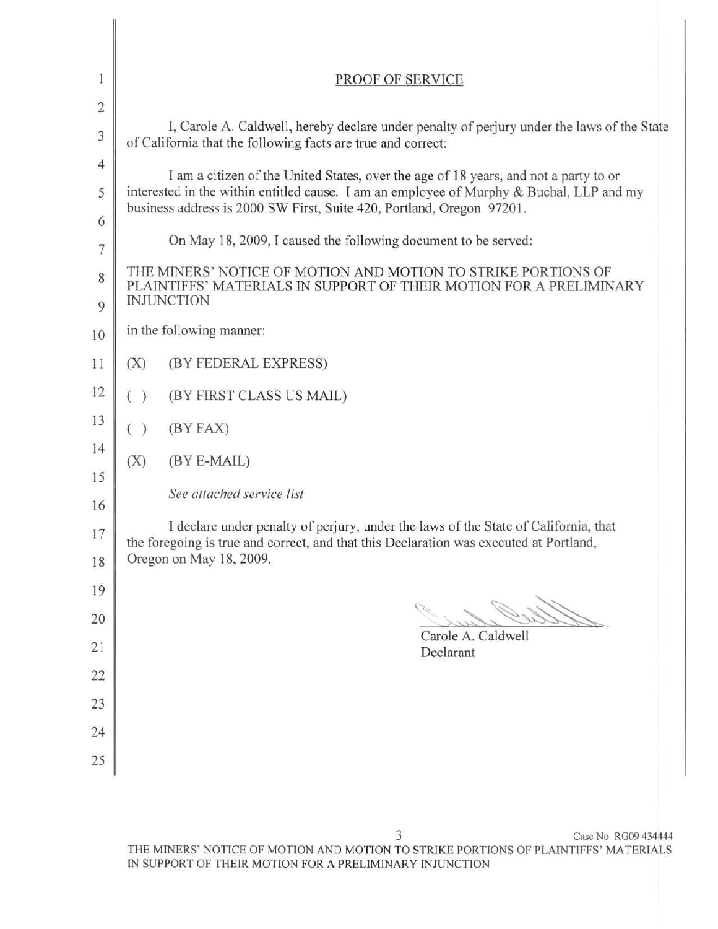| 1                             | PROOF OF SERVICE                                                                                                                                                              |  |  |
|-------------------------------|-------------------------------------------------------------------------------------------------------------------------------------------------------------------------------|--|--|
| $\overline{2}$                |                                                                                                                                                                               |  |  |
| 3                             | I, Carole A. Caldwell, hereby declare under penalty of perjury under the laws of the State<br>of California that the following facts are true and correct:                    |  |  |
| $\overline{4}$                | I am a citizen of the United States, over the age of 18 years, and not a party to or                                                                                          |  |  |
| 5                             | interested in the within entitled cause. I am an employee of Murphy & Buchal, LLP and my<br>business address is 2000 SW First, Suite 420, Portland, Oregon 97201.             |  |  |
| 6<br>$\overline{\mathcal{I}}$ | On May 18, 2009, I caused the following document to be served:                                                                                                                |  |  |
| 8                             | THE MINERS' NOTICE OF MOTION AND MOTION TO STRIKE PORTIONS OF<br>PLAINTIFFS' MATERIALS IN SUPPORT OF THEIR MOTION FOR A PRELIMINARY                                           |  |  |
| 9                             | <b>INJUNCTION</b>                                                                                                                                                             |  |  |
| 10                            | in the following manner:                                                                                                                                                      |  |  |
| 11                            | (X)<br>(BY FEDERAL EXPRESS)                                                                                                                                                   |  |  |
| 12                            | ( )<br>(BY FIRST CLASS US MAIL)                                                                                                                                               |  |  |
| 13                            | ( )<br>(BY FAX)                                                                                                                                                               |  |  |
| 14<br>15                      | (BY E-MAIL)<br>(X)                                                                                                                                                            |  |  |
| 16                            | See attached service list                                                                                                                                                     |  |  |
| 17                            | I declare under penalty of perjury, under the laws of the State of California, that<br>the foregoing is true and correct, and that this Declaration was executed at Portland, |  |  |
| 18                            | Oregon on May 18, 2009.                                                                                                                                                       |  |  |
| 19                            |                                                                                                                                                                               |  |  |
| 20                            |                                                                                                                                                                               |  |  |
| 21                            | Carole A. Caldwell<br>Declarant                                                                                                                                               |  |  |
| 22                            |                                                                                                                                                                               |  |  |
| 23                            |                                                                                                                                                                               |  |  |
| 24                            |                                                                                                                                                                               |  |  |
| 25                            |                                                                                                                                                                               |  |  |
|                               |                                                                                                                                                                               |  |  |